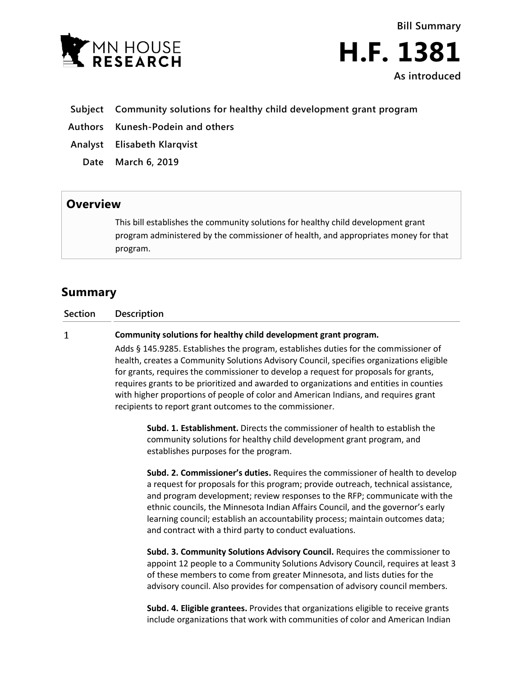

**Bill Summary H.F. 1381 As introduced**

- **Subject Community solutions for healthy child development grant program**
- **Authors Kunesh-Podein and others**
- **Analyst Elisabeth Klarqvist**
	- **Date March 6, 2019**

## **Overview**

This bill establishes the community solutions for healthy child development grant program administered by the commissioner of health, and appropriates money for that program.

## **Summary**

**Section Description**

 $\mathbf{1}$ **Community solutions for healthy child development grant program.**

> Adds § 145.9285. Establishes the program, establishes duties for the commissioner of health, creates a Community Solutions Advisory Council, specifies organizations eligible for grants, requires the commissioner to develop a request for proposals for grants, requires grants to be prioritized and awarded to organizations and entities in counties with higher proportions of people of color and American Indians, and requires grant recipients to report grant outcomes to the commissioner.

**Subd. 1. Establishment.** Directs the commissioner of health to establish the community solutions for healthy child development grant program, and establishes purposes for the program.

**Subd. 2. Commissioner's duties.** Requires the commissioner of health to develop a request for proposals for this program; provide outreach, technical assistance, and program development; review responses to the RFP; communicate with the ethnic councils, the Minnesota Indian Affairs Council, and the governor's early learning council; establish an accountability process; maintain outcomes data; and contract with a third party to conduct evaluations.

**Subd. 3. Community Solutions Advisory Council.** Requires the commissioner to appoint 12 people to a Community Solutions Advisory Council, requires at least 3 of these members to come from greater Minnesota, and lists duties for the advisory council. Also provides for compensation of advisory council members.

**Subd. 4. Eligible grantees.** Provides that organizations eligible to receive grants include organizations that work with communities of color and American Indian